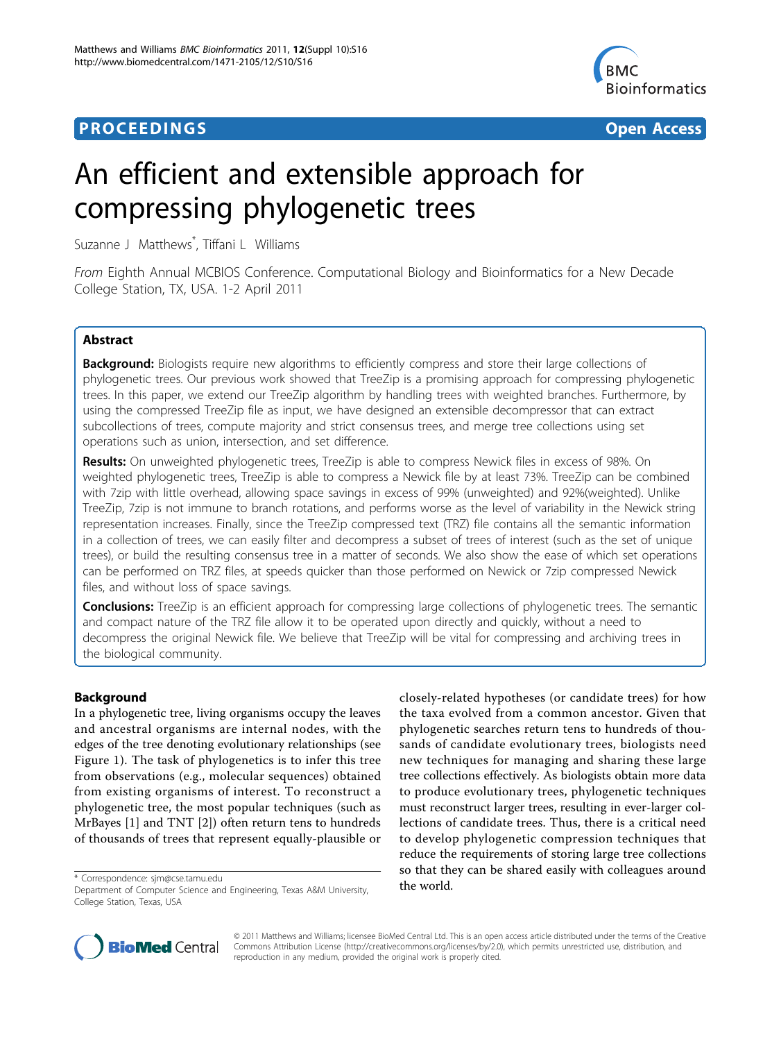# **PROCEEDINGS CONSUMING S** Open Access **CONSUMING S**



# An efficient and extensible approach for compressing phylogenetic trees

Suzanne J Matthews<sup>\*</sup>, Tiffani L Williams

From Eighth Annual MCBIOS Conference. Computational Biology and Bioinformatics for a New Decade College Station, TX, USA. 1-2 April 2011

# Abstract

**Background:** Biologists require new algorithms to efficiently compress and store their large collections of phylogenetic trees. Our previous work showed that TreeZip is a promising approach for compressing phylogenetic trees. In this paper, we extend our TreeZip algorithm by handling trees with weighted branches. Furthermore, by using the compressed TreeZip file as input, we have designed an extensible decompressor that can extract subcollections of trees, compute majority and strict consensus trees, and merge tree collections using set operations such as union, intersection, and set difference.

Results: On unweighted phylogenetic trees, TreeZip is able to compress Newick files in excess of 98%. On weighted phylogenetic trees, TreeZip is able to compress a Newick file by at least 73%. TreeZip can be combined with 7zip with little overhead, allowing space savings in excess of 99% (unweighted) and 92%(weighted). Unlike TreeZip, 7zip is not immune to branch rotations, and performs worse as the level of variability in the Newick string representation increases. Finally, since the TreeZip compressed text (TRZ) file contains all the semantic information in a collection of trees, we can easily filter and decompress a subset of trees of interest (such as the set of unique trees), or build the resulting consensus tree in a matter of seconds. We also show the ease of which set operations can be performed on TRZ files, at speeds quicker than those performed on Newick or 7zip compressed Newick files, and without loss of space savings.

Conclusions: TreeZip is an efficient approach for compressing large collections of phylogenetic trees. The semantic and compact nature of the TRZ file allow it to be operated upon directly and quickly, without a need to decompress the original Newick file. We believe that TreeZip will be vital for compressing and archiving trees in the biological community.

# Background

In a phylogenetic tree, living organisms occupy the leaves and ancestral organisms are internal nodes, with the edges of the tree denoting evolutionary relationships (see Figure [1\)](#page-1-0). The task of phylogenetics is to infer this tree from observations (e.g., molecular sequences) obtained from existing organisms of interest. To reconstruct a phylogenetic tree, the most popular techniques (such as MrBayes [[1\]](#page-11-0) and TNT [\[2](#page-11-0)]) often return tens to hundreds of thousands of trees that represent equally-plausible or

closely-related hypotheses (or candidate trees) for how the taxa evolved from a common ancestor. Given that phylogenetic searches return tens to hundreds of thousands of candidate evolutionary trees, biologists need new techniques for managing and sharing these large tree collections effectively. As biologists obtain more data to produce evolutionary trees, phylogenetic techniques must reconstruct larger trees, resulting in ever-larger collections of candidate trees. Thus, there is a critical need to develop phylogenetic compression techniques that reduce the requirements of storing large tree collections so that they can be shared easily with colleagues around



© 2011 Matthews and Williams; licensee BioMed Central Ltd. This is an open access article distributed under the terms of the Creative Commons Attribution License [\(http://creativecommons.org/licenses/by/2.0](http://creativecommons.org/licenses/by/2.0)), which permits unrestricted use, distribution, and reproduction in any medium, provided the original work is properly cited.

<sup>\*</sup> Correspondence: [sjm@cse.tamu.edu](mailto:sjm@cse.tamu.edu)<br>Department of Computer Science and Engineering, Texas A&M University, the world. College Station, Texas, USA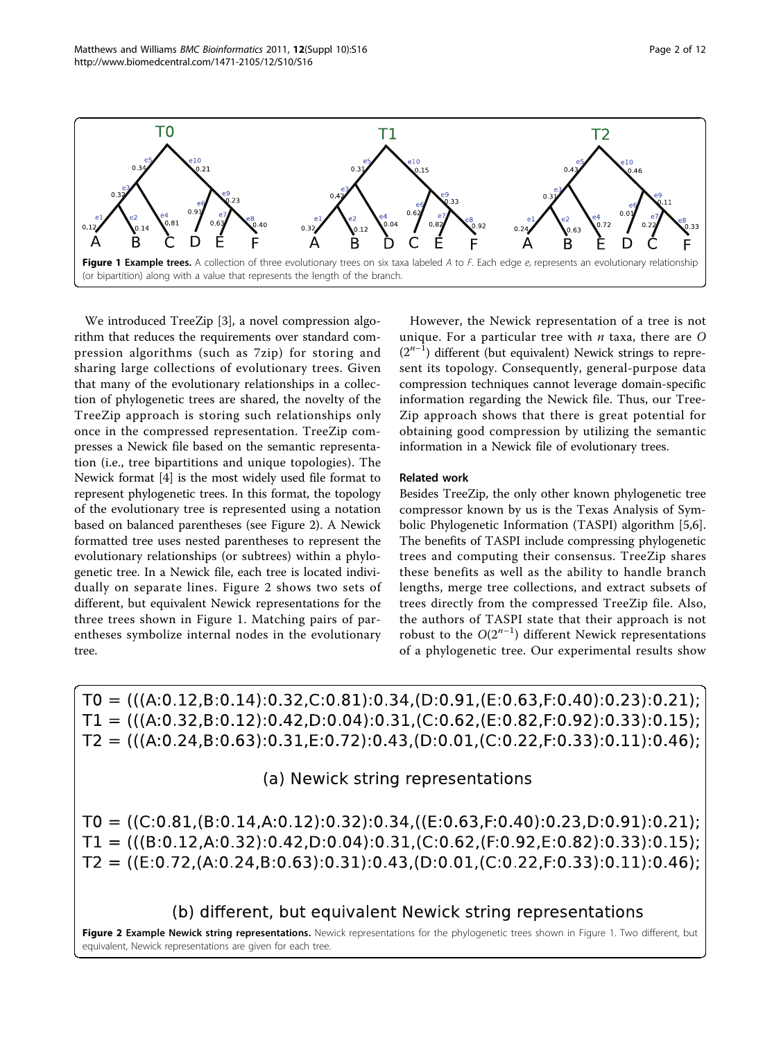<span id="page-1-0"></span>Matthews and Williams BMC Bioinformatics 2011, 12(Suppl 10):S16 http://www.biomedcentral.com/1471-2105/12/S10/S16



We introduced TreeZip [\[3\]](#page-11-0), a novel compression algorithm that reduces the requirements over standard compression algorithms (such as 7zip) for storing and sharing large collections of evolutionary trees. Given that many of the evolutionary relationships in a collection of phylogenetic trees are shared, the novelty of the TreeZip approach is storing such relationships only once in the compressed representation. TreeZip compresses a Newick file based on the semantic representation (i.e., tree bipartitions and unique topologies). The Newick format [\[4](#page-11-0)] is the most widely used file format to represent phylogenetic trees. In this format, the topology of the evolutionary tree is represented using a notation based on balanced parentheses (see Figure 2). A Newick formatted tree uses nested parentheses to represent the evolutionary relationships (or subtrees) within a phylogenetic tree. In a Newick file, each tree is located individually on separate lines. Figure 2 shows two sets of different, but equivalent Newick representations for the three trees shown in Figure 1. Matching pairs of parentheses symbolize internal nodes in the evolutionary tree.

However, the Newick representation of a tree is not unique. For a particular tree with  $n$  taxa, there are  $O$  $(2^{n-1})$  different (but equivalent) Newick strings to represent its topology. Consequently, general-purpose data compression techniques cannot leverage domain-specific information regarding the Newick file. Thus, our Tree-Zip approach shows that there is great potential for obtaining good compression by utilizing the semantic information in a Newick file of evolutionary trees.

## Related work

Besides TreeZip, the only other known phylogenetic tree compressor known by us is the Texas Analysis of Symbolic Phylogenetic Information (TASPI) algorithm [\[5,6](#page-11-0)]. The benefits of TASPI include compressing phylogenetic trees and computing their consensus. TreeZip shares these benefits as well as the ability to handle branch lengths, merge tree collections, and extract subsets of trees directly from the compressed TreeZip file. Also, the authors of TASPI state that their approach is not robust to the  $O(2^{n-1})$  different Newick representations of a phylogenetic tree. Our experimental results show

 $TO = (((A:0.12,B:0.14):0.32,C:0.81):0.34,(D:0.91,(E:0.63,F:0.40):0.23):0.21);$  $T1 = (((A:0.32,B:0.12):0.42,D:0.04):0.31,(C:0.62,(E:0.82,F:0.92):0.33):0.15);$  $T2 = (((A:0.24,B:0.63):0.31,E:0.72):0.43,(D:0.01,(C:0.22,F:0.33):0.11):0.46);$ 

(a) Newick string representations

 $TO = ((C:0.81, (B:0.14, A:0.12):0.32):0.34, ((E:0.63, F:0.40):0.23, D:0.91):0.21);$  $T1 = (((B:0.12,A:0.32):0.42,D:0.04):0.31,(C:0.62,(F:0.92,E:0.82):0.33):0.15);$  $T2 = ((E:0.72,(A:0.24,B:0.63):0.31):0.43,(D:0.01,(C:0.22,F:0.33):0.11):0.46);$ 

# (b) different, but equivalent Newick string representations

Figure 2 Example Newick string representations. Newick representations for the phylogenetic trees shown in Figure 1. Two different, but equivalent, Newick representations are given for each tree.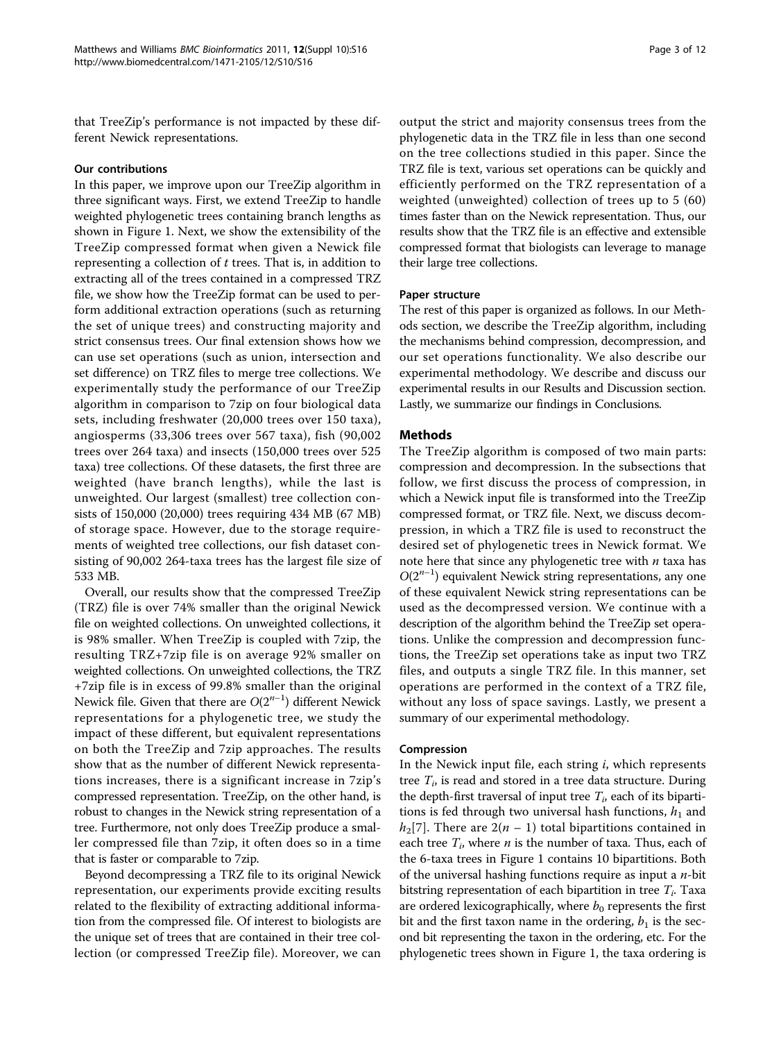that TreeZip's performance is not impacted by these different Newick representations.

#### Our contributions

In this paper, we improve upon our TreeZip algorithm in three significant ways. First, we extend TreeZip to handle weighted phylogenetic trees containing branch lengths as shown in Figure [1.](#page-1-0) Next, we show the extensibility of the TreeZip compressed format when given a Newick file representing a collection of  $t$  trees. That is, in addition to extracting all of the trees contained in a compressed TRZ file, we show how the TreeZip format can be used to perform additional extraction operations (such as returning the set of unique trees) and constructing majority and strict consensus trees. Our final extension shows how we can use set operations (such as union, intersection and set difference) on TRZ files to merge tree collections. We experimentally study the performance of our TreeZip algorithm in comparison to 7zip on four biological data sets, including freshwater (20,000 trees over 150 taxa), angiosperms (33,306 trees over 567 taxa), fish (90,002 trees over 264 taxa) and insects (150,000 trees over 525 taxa) tree collections. Of these datasets, the first three are weighted (have branch lengths), while the last is unweighted. Our largest (smallest) tree collection consists of 150,000 (20,000) trees requiring 434 MB (67 MB) of storage space. However, due to the storage requirements of weighted tree collections, our fish dataset consisting of 90,002 264-taxa trees has the largest file size of 533 MB.

Overall, our results show that the compressed TreeZip (TRZ) file is over 74% smaller than the original Newick file on weighted collections. On unweighted collections, it is 98% smaller. When TreeZip is coupled with 7zip, the resulting TRZ+7zip file is on average 92% smaller on weighted collections. On unweighted collections, the TRZ +7zip file is in excess of 99.8% smaller than the original Newick file. Given that there are  $O(2^{n-1})$  different Newick representations for a phylogenetic tree, we study the impact of these different, but equivalent representations on both the TreeZip and 7zip approaches. The results show that as the number of different Newick representations increases, there is a significant increase in 7zip's compressed representation. TreeZip, on the other hand, is robust to changes in the Newick string representation of a tree. Furthermore, not only does TreeZip produce a smaller compressed file than 7zip, it often does so in a time that is faster or comparable to 7zip.

Beyond decompressing a TRZ file to its original Newick representation, our experiments provide exciting results related to the flexibility of extracting additional information from the compressed file. Of interest to biologists are the unique set of trees that are contained in their tree collection (or compressed TreeZip file). Moreover, we can output the strict and majority consensus trees from the phylogenetic data in the TRZ file in less than one second on the tree collections studied in this paper. Since the TRZ file is text, various set operations can be quickly and efficiently performed on the TRZ representation of a weighted (unweighted) collection of trees up to 5 (60) times faster than on the Newick representation. Thus, our results show that the TRZ file is an effective and extensible compressed format that biologists can leverage to manage their large tree collections.

#### Paper structure

The rest of this paper is organized as follows. In our Methods section, we describe the TreeZip algorithm, including the mechanisms behind compression, decompression, and our set operations functionality. We also describe our experimental methodology. We describe and discuss our experimental results in our Results and Discussion section. Lastly, we summarize our findings in Conclusions.

## Methods

The TreeZip algorithm is composed of two main parts: compression and decompression. In the subsections that follow, we first discuss the process of compression, in which a Newick input file is transformed into the TreeZip compressed format, or TRZ file. Next, we discuss decompression, in which a TRZ file is used to reconstruct the desired set of phylogenetic trees in Newick format. We note here that since any phylogenetic tree with  $n$  taxa has  $O(2^{n-1})$  equivalent Newick string representations, any one of these equivalent Newick string representations can be used as the decompressed version. We continue with a description of the algorithm behind the TreeZip set operations. Unlike the compression and decompression functions, the TreeZip set operations take as input two TRZ files, and outputs a single TRZ file. In this manner, set operations are performed in the context of a TRZ file, without any loss of space savings. Lastly, we present a summary of our experimental methodology.

#### Compression

In the Newick input file, each string  $i$ , which represents tree  $T_i$ , is read and stored in a tree data structure. During the depth-first traversal of input tree  $T_i$ , each of its bipartitions is fed through two universal hash functions,  $h_1$  and  $h_2[7]$  $h_2[7]$  $h_2[7]$ . There are  $2(n-1)$  total bipartitions contained in each tree  $T_i$ , where *n* is the number of taxa. Thus, each of the 6-taxa trees in Figure [1](#page-1-0) contains 10 bipartitions. Both of the universal hashing functions require as input a  $n$ -bit bitstring representation of each bipartition in tree  $T_i$ . Taxa are ordered lexicographically, where  $b_0$  represents the first bit and the first taxon name in the ordering,  $b_1$  is the second bit representing the taxon in the ordering, etc. For the phylogenetic trees shown in Figure [1,](#page-1-0) the taxa ordering is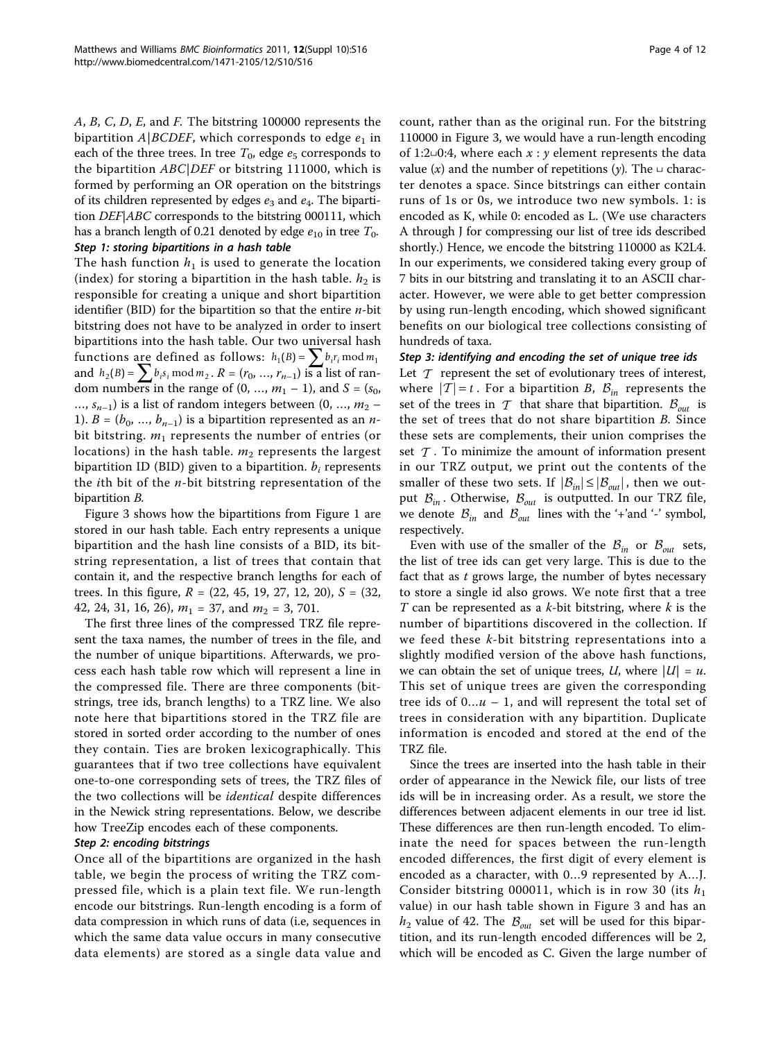A, B, C, D, E, and F. The bitstring 100000 represents the bipartition A|BCDEF, which corresponds to edge  $e_1$  in each of the three trees. In tree  $T_0$ , edge  $e_5$  corresponds to the bipartition ABC|DEF or bitstring 111000, which is formed by performing an OR operation on the bitstrings of its children represented by edges  $e_3$  and  $e_4$ . The bipartition DEF|ABC corresponds to the bitstring 000111, which has a branch length of 0.21 denoted by edge  $e_{10}$  in tree  $T_0$ . Step 1: storing bipartitions in a hash table

The hash function  $h_1$  is used to generate the location (index) for storing a bipartition in the hash table.  $h_2$  is responsible for creating a unique and short bipartition identifier (BID) for the bipartition so that the entire  $n$ -bit bitstring does not have to be analyzed in order to insert bipartitions into the hash table. Our two universal hash functions are defined as follows:  $h_1(B) = \sum b_i r_i \mod m_1$ and  $h_2(B) = \sum_{i} b_i s_i \mod m_2$ .  $R = (r_0, ..., r_{n-1})$  is a list of random numbers in the range of  $(0, ..., m_1 - 1)$ , and  $S = (s_0,$  $..., s_{n-1}$ ) is a list of random integers between (0, ...,  $m_2$  – 1).  $B = (b_0, ..., b_{n-1})$  is a bipartition represented as an *n*bit bitstring.  $m_1$  represents the number of entries (or locations) in the hash table.  $m_2$  represents the largest bipartition ID (BID) given to a bipartition.  $b_i$  represents the *i*th bit of the  $n$ -bit bitstring representation of the bipartition B.

Figure [3](#page-4-0) shows how the bipartitions from Figure [1](#page-1-0) are stored in our hash table. Each entry represents a unique bipartition and the hash line consists of a BID, its bitstring representation, a list of trees that contain that contain it, and the respective branch lengths for each of trees. In this figure,  $R = (22, 45, 19, 27, 12, 20), S = (32, 12, 12, 20)$ 42, 24, 31, 16, 26),  $m_1 = 37$ , and  $m_2 = 3$ , 701.

The first three lines of the compressed TRZ file represent the taxa names, the number of trees in the file, and the number of unique bipartitions. Afterwards, we process each hash table row which will represent a line in the compressed file. There are three components (bitstrings, tree ids, branch lengths) to a TRZ line. We also note here that bipartitions stored in the TRZ file are stored in sorted order according to the number of ones they contain. Ties are broken lexicographically. This guarantees that if two tree collections have equivalent one-to-one corresponding sets of trees, the TRZ files of the two collections will be identical despite differences in the Newick string representations. Below, we describe how TreeZip encodes each of these components.

## Step 2: encoding bitstrings

Once all of the bipartitions are organized in the hash table, we begin the process of writing the TRZ compressed file, which is a plain text file. We run-length encode our bitstrings. Run-length encoding is a form of data compression in which runs of data (i.e, sequences in which the same data value occurs in many consecutive data elements) are stored as a single data value and count, rather than as the original run. For the bitstring 110000 in Figure [3,](#page-4-0) we would have a run-length encoding of 1:2 $\cup$ 0:4, where each  $x : y$  element represents the data value  $(x)$  and the number of repetitions  $(y)$ . The  $\cup$  character denotes a space. Since bitstrings can either contain runs of 1s or 0s, we introduce two new symbols. 1: is encoded as K, while 0: encoded as L. (We use characters A through J for compressing our list of tree ids described shortly.) Hence, we encode the bitstring 110000 as K2L4. In our experiments, we considered taking every group of 7 bits in our bitstring and translating it to an ASCII character. However, we were able to get better compression by using run-length encoding, which showed significant benefits on our biological tree collections consisting of hundreds of taxa.

#### Step 3: identifying and encoding the set of unique tree ids

Let  $\mathcal T$  represent the set of evolutionary trees of interest, where  $|T| = t$ . For a bipartition *B*,  $B_{in}$  represents the set of the trees in  $\mathcal T$  that share that bipartition.  $\mathcal B_{out}$  is the set of trees that do not share bipartition B. Since these sets are complements, their union comprises the set  $\mathcal T$ . To minimize the amount of information present in our TRZ output, we print out the contents of the smaller of these two sets. If  $|\mathcal{B}_{in}| \leq |\mathcal{B}_{out}|$ , then we output  $B_{in}$ . Otherwise,  $B_{out}$  is outputted. In our TRZ file, we denote  $B_{in}$  and  $B_{out}$  lines with the '+'and '-' symbol, respectively.

Even with use of the smaller of the  $B_{in}$  or  $B_{out}$  sets, the list of tree ids can get very large. This is due to the fact that as  $t$  grows large, the number of bytes necessary to store a single id also grows. We note first that a tree T can be represented as a  $k$ -bit bitstring, where  $k$  is the number of bipartitions discovered in the collection. If we feed these k-bit bitstring representations into a slightly modified version of the above hash functions, we can obtain the set of unique trees,  $U$ , where  $|U| = u$ . This set of unique trees are given the corresponding tree ids of  $0...u - 1$ , and will represent the total set of trees in consideration with any bipartition. Duplicate information is encoded and stored at the end of the TRZ file.

Since the trees are inserted into the hash table in their order of appearance in the Newick file, our lists of tree ids will be in increasing order. As a result, we store the differences between adjacent elements in our tree id list. These differences are then run-length encoded. To eliminate the need for spaces between the run-length encoded differences, the first digit of every element is encoded as a character, with 0…9 represented by A…J. Consider bitstring 000011, which is in row 30 (its  $h_1$ ) value) in our hash table shown in Figure [3](#page-4-0) and has an  $h_2$  value of 42. The  $\mathcal{B}_{out}$  set will be used for this bipartition, and its run-length encoded differences will be 2, which will be encoded as C. Given the large number of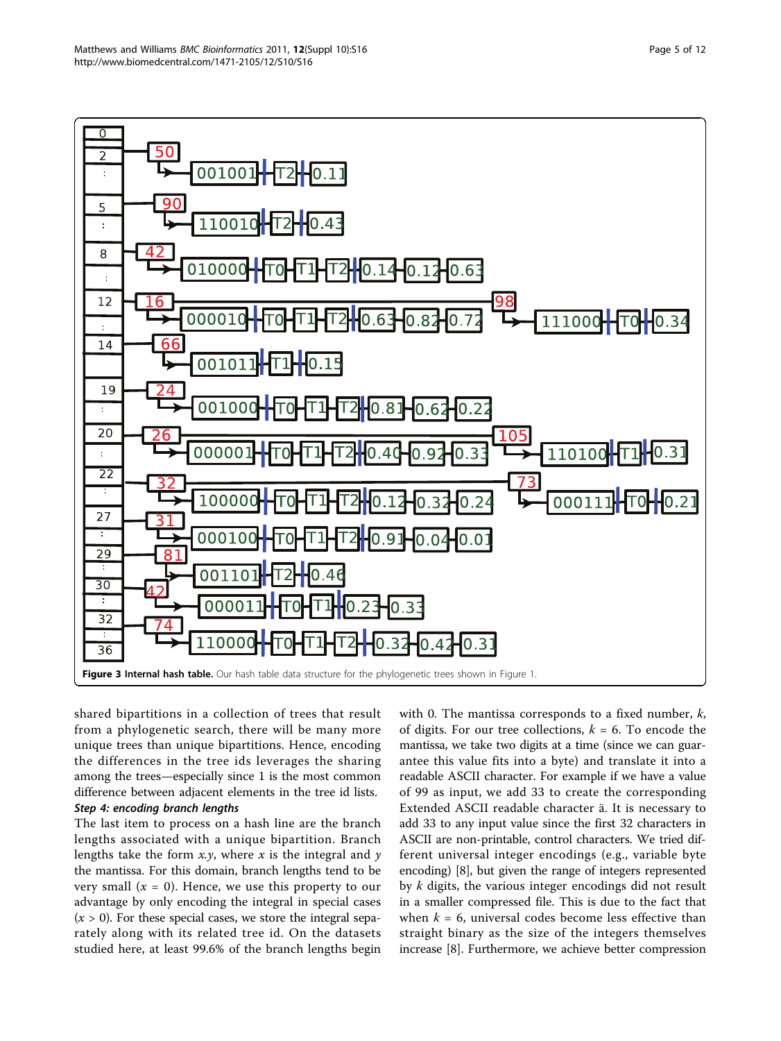<span id="page-4-0"></span>

shared bipartitions in a collection of trees that result from a phylogenetic search, there will be many more unique trees than unique bipartitions. Hence, encoding the differences in the tree ids leverages the sharing among the trees—especially since 1 is the most common difference between adjacent elements in the tree id lists. Step 4: encoding branch lengths

# The last item to process on a hash line are the branch lengths associated with a unique bipartition. Branch lengths take the form  $x, y$ , where x is the integral and y the mantissa. For this domain, branch lengths tend to be very small  $(x = 0)$ . Hence, we use this property to our advantage by only encoding the integral in special cases  $(x > 0)$ . For these special cases, we store the integral separately along with its related tree id. On the datasets studied here, at least 99.6% of the branch lengths begin

with 0. The mantissa corresponds to a fixed number,  $k$ , of digits. For our tree collections,  $k = 6$ . To encode the mantissa, we take two digits at a time (since we can guarantee this value fits into a byte) and translate it into a readable ASCII character. For example if we have a value of 99 as input, we add 33 to create the corresponding Extended ASCII readable character ä. It is necessary to add 33 to any input value since the first 32 characters in ASCII are non-printable, control characters. We tried different universal integer encodings (e.g., variable byte encoding) [[8](#page-11-0)], but given the range of integers represented by k digits, the various integer encodings did not result in a smaller compressed file. This is due to the fact that when  $k = 6$ , universal codes become less effective than straight binary as the size of the integers themselves increase [[8](#page-11-0)]. Furthermore, we achieve better compression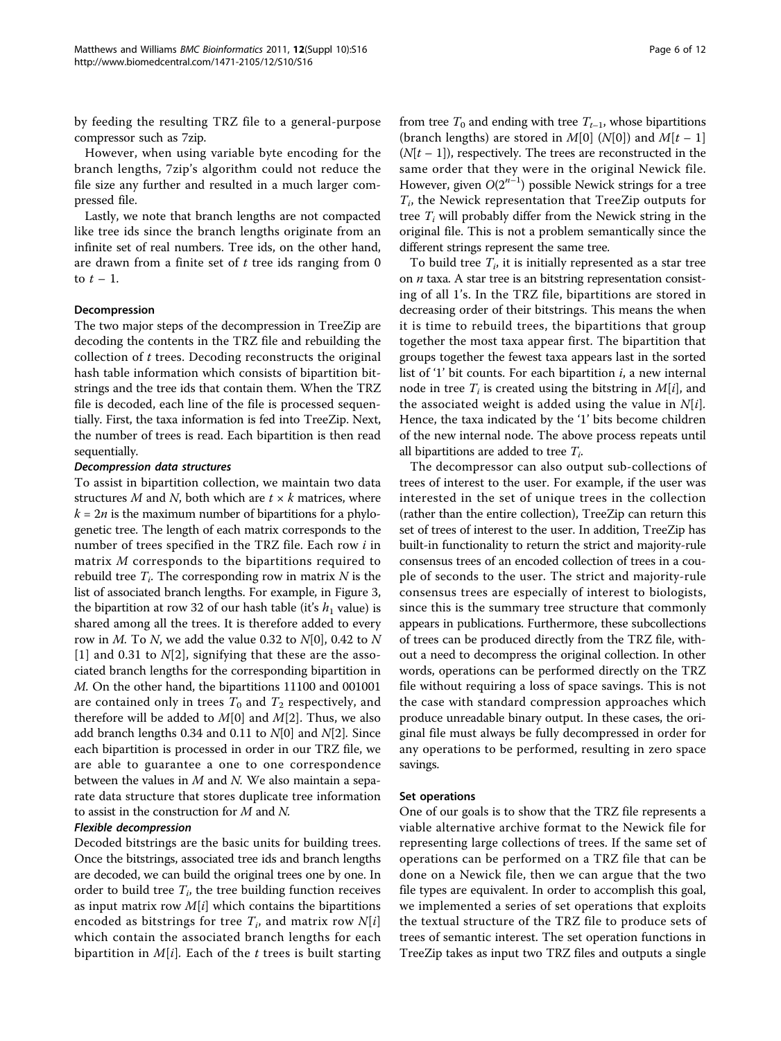by feeding the resulting TRZ file to a general-purpose compressor such as 7zip.

However, when using variable byte encoding for the branch lengths, 7zip's algorithm could not reduce the file size any further and resulted in a much larger compressed file.

Lastly, we note that branch lengths are not compacted like tree ids since the branch lengths originate from an infinite set of real numbers. Tree ids, on the other hand, are drawn from a finite set of  $t$  tree ids ranging from  $0$ to  $t-1$ .

## Decompression

The two major steps of the decompression in TreeZip are decoding the contents in the TRZ file and rebuilding the collection of t trees. Decoding reconstructs the original hash table information which consists of bipartition bitstrings and the tree ids that contain them. When the TRZ file is decoded, each line of the file is processed sequentially. First, the taxa information is fed into TreeZip. Next, the number of trees is read. Each bipartition is then read sequentially.

#### Decompression data structures

To assist in bipartition collection, we maintain two data structures M and N, both which are  $t \times k$  matrices, where  $k = 2n$  is the maximum number of bipartitions for a phylogenetic tree. The length of each matrix corresponds to the number of trees specified in the TRZ file. Each row i in matrix M corresponds to the bipartitions required to rebuild tree  $T_i$ . The corresponding row in matrix N is the list of associated branch lengths. For example, in Figure [3](#page-4-0), the bipartition at row 32 of our hash table (it's  $h_1$  value) is shared among all the trees. It is therefore added to every row in  $M$ . To  $N$ , we add the value 0.32 to  $N[0]$ , 0.42 to  $N$ [1] and 0.31 to  $N[2]$ , signifying that these are the associated branch lengths for the corresponding bipartition in M. On the other hand, the bipartitions 11100 and 001001 are contained only in trees  $T_0$  and  $T_2$  respectively, and therefore will be added to  $M[0]$  and  $M[2]$ . Thus, we also add branch lengths 0.34 and 0.11 to  $N[0]$  and  $N[2]$ . Since each bipartition is processed in order in our TRZ file, we are able to guarantee a one to one correspondence between the values in  $M$  and  $N$ . We also maintain a separate data structure that stores duplicate tree information to assist in the construction for M and N.

## Flexible decompression

Decoded bitstrings are the basic units for building trees. Once the bitstrings, associated tree ids and branch lengths are decoded, we can build the original trees one by one. In order to build tree  $T_i$ , the tree building function receives as input matrix row  $M[i]$  which contains the bipartitions encoded as bitstrings for tree  $T_i$ , and matrix row  $N[i]$ which contain the associated branch lengths for each bipartition in  $M[i]$ . Each of the t trees is built starting from tree  $T_0$  and ending with tree  $T_{t-1}$ , whose bipartitions (branch lengths) are stored in  $M[0]$  ( $N[0]$ ) and  $M[t-1]$  $(N[t-1])$ , respectively. The trees are reconstructed in the same order that they were in the original Newick file. However, given  $O(2^{n-1})$  possible Newick strings for a tree  $T_i$ , the Newick representation that TreeZip outputs for tree  $T_i$  will probably differ from the Newick string in the original file. This is not a problem semantically since the different strings represent the same tree.

To build tree  $T_i$ , it is initially represented as a star tree on  $n$  taxa. A star tree is an bitstring representation consisting of all 1's. In the TRZ file, bipartitions are stored in decreasing order of their bitstrings. This means the when it is time to rebuild trees, the bipartitions that group together the most taxa appear first. The bipartition that groups together the fewest taxa appears last in the sorted list of '1' bit counts. For each bipartition  $i$ , a new internal node in tree  $T_i$  is created using the bitstring in  $M[i]$ , and the associated weight is added using the value in  $N[i]$ . Hence, the taxa indicated by the '1' bits become children of the new internal node. The above process repeats until all bipartitions are added to tree  $T_i$ .

The decompressor can also output sub-collections of trees of interest to the user. For example, if the user was interested in the set of unique trees in the collection (rather than the entire collection), TreeZip can return this set of trees of interest to the user. In addition, TreeZip has built-in functionality to return the strict and majority-rule consensus trees of an encoded collection of trees in a couple of seconds to the user. The strict and majority-rule consensus trees are especially of interest to biologists, since this is the summary tree structure that commonly appears in publications. Furthermore, these subcollections of trees can be produced directly from the TRZ file, without a need to decompress the original collection. In other words, operations can be performed directly on the TRZ file without requiring a loss of space savings. This is not the case with standard compression approaches which produce unreadable binary output. In these cases, the original file must always be fully decompressed in order for any operations to be performed, resulting in zero space savings.

#### Set operations

One of our goals is to show that the TRZ file represents a viable alternative archive format to the Newick file for representing large collections of trees. If the same set of operations can be performed on a TRZ file that can be done on a Newick file, then we can argue that the two file types are equivalent. In order to accomplish this goal, we implemented a series of set operations that exploits the textual structure of the TRZ file to produce sets of trees of semantic interest. The set operation functions in TreeZip takes as input two TRZ files and outputs a single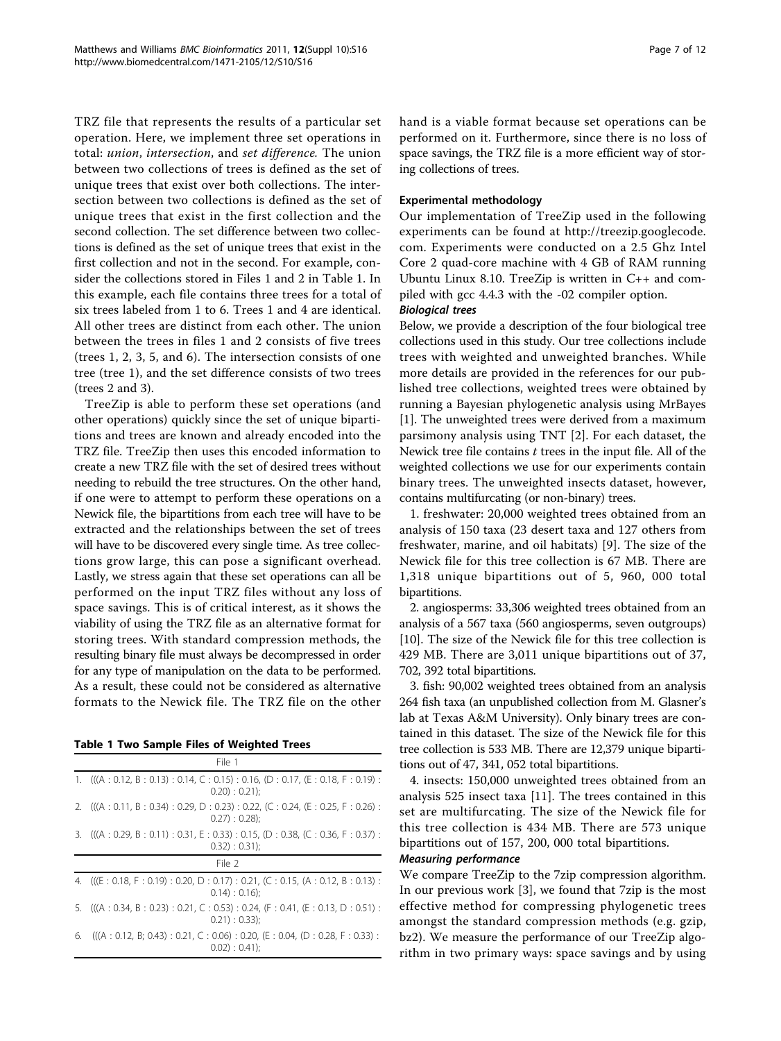TRZ file that represents the results of a particular set operation. Here, we implement three set operations in total: union, intersection, and set difference. The union between two collections of trees is defined as the set of unique trees that exist over both collections. The intersection between two collections is defined as the set of unique trees that exist in the first collection and the second collection. The set difference between two collections is defined as the set of unique trees that exist in the first collection and not in the second. For example, consider the collections stored in Files 1 and 2 in Table 1. In this example, each file contains three trees for a total of six trees labeled from 1 to 6. Trees 1 and 4 are identical. All other trees are distinct from each other. The union between the trees in files 1 and 2 consists of five trees (trees 1, 2, 3, 5, and 6). The intersection consists of one tree (tree 1), and the set difference consists of two trees (trees 2 and 3).

TreeZip is able to perform these set operations (and other operations) quickly since the set of unique bipartitions and trees are known and already encoded into the TRZ file. TreeZip then uses this encoded information to create a new TRZ file with the set of desired trees without needing to rebuild the tree structures. On the other hand, if one were to attempt to perform these operations on a Newick file, the bipartitions from each tree will have to be extracted and the relationships between the set of trees will have to be discovered every single time. As tree collections grow large, this can pose a significant overhead. Lastly, we stress again that these set operations can all be performed on the input TRZ files without any loss of space savings. This is of critical interest, as it shows the viability of using the TRZ file as an alternative format for storing trees. With standard compression methods, the resulting binary file must always be decompressed in order for any type of manipulation on the data to be performed. As a result, these could not be considered as alternative formats to the Newick file. The TRZ file on the other

#### Table 1 Two Sample Files of Weighted Trees

| File 1                                                                                                 |
|--------------------------------------------------------------------------------------------------------|
| 1. $(((A: 0.12, B: 0.13): 0.14, C: 0.15): 0.16, (D: 0.17, (E: 0.18, F: 0.19):$<br>$0.20$ : $0.21$ :    |
| 2. (((A: 0.11, B: 0.34): 0.29, D: 0.23): 0.22, (C: 0.24, (E: 0.25, F: 0.26):<br>$0.27$ : $0.28$ :      |
| 3. $(((A: 0.29, B: 0.11): 0.31, E: 0.33): 0.15, (D: 0.38, (C: 0.36, F: 0.37):$<br>$0.32$ ) : $0.31$ ); |
| File 2                                                                                                 |
| 4. (((E: 0.18, F: 0.19): 0.20, D: 0.17): 0.21, (C: 0.15, (A: 0.12, B: 0.13):<br>$0.14$ : 0.16):        |
| 5. $(((A: 0.34, B: 0.23): 0.21, C: 0.53): 0.24, (F: 0.41, (E: 0.13, D: 0.51):$                         |
| $0.21$ : $0.33$ :                                                                                      |

hand is a viable format because set operations can be performed on it. Furthermore, since there is no loss of space savings, the TRZ file is a more efficient way of storing collections of trees.

#### Experimental methodology

Our implementation of TreeZip used in the following experiments can be found at [http://treezip.googlecode.](http://treezip.googlecode.com) [com](http://treezip.googlecode.com). Experiments were conducted on a 2.5 Ghz Intel Core 2 quad-core machine with 4 GB of RAM running Ubuntu Linux 8.10. TreeZip is written in C++ and compiled with gcc 4.4.3 with the -02 compiler option.

#### Biological trees

Below, we provide a description of the four biological tree collections used in this study. Our tree collections include trees with weighted and unweighted branches. While more details are provided in the references for our published tree collections, weighted trees were obtained by running a Bayesian phylogenetic analysis using MrBayes [[1\]](#page-11-0). The unweighted trees were derived from a maximum parsimony analysis using TNT [[2\]](#page-11-0). For each dataset, the Newick tree file contains  $t$  trees in the input file. All of the weighted collections we use for our experiments contain binary trees. The unweighted insects dataset, however, contains multifurcating (or non-binary) trees.

1. freshwater: 20,000 weighted trees obtained from an analysis of 150 taxa (23 desert taxa and 127 others from freshwater, marine, and oil habitats) [[9\]](#page-11-0). The size of the Newick file for this tree collection is 67 MB. There are 1,318 unique bipartitions out of 5, 960, 000 total bipartitions.

2. angiosperms: 33,306 weighted trees obtained from an analysis of a 567 taxa (560 angiosperms, seven outgroups) [[10\]](#page-11-0). The size of the Newick file for this tree collection is 429 MB. There are 3,011 unique bipartitions out of 37, 702, 392 total bipartitions.

3. fish: 90,002 weighted trees obtained from an analysis 264 fish taxa (an unpublished collection from M. Glasner's lab at Texas A&M University). Only binary trees are contained in this dataset. The size of the Newick file for this tree collection is 533 MB. There are 12,379 unique bipartitions out of 47, 341, 052 total bipartitions.

4. insects: 150,000 unweighted trees obtained from an analysis 525 insect taxa [[11\]](#page-11-0). The trees contained in this set are multifurcating. The size of the Newick file for this tree collection is 434 MB. There are 573 unique bipartitions out of 157, 200, 000 total bipartitions.

#### Measuring performance

We compare TreeZip to the 7zip compression algorithm. In our previous work [[3\]](#page-11-0), we found that 7zip is the most effective method for compressing phylogenetic trees amongst the standard compression methods (e.g. gzip, bz2). We measure the performance of our TreeZip algorithm in two primary ways: space savings and by using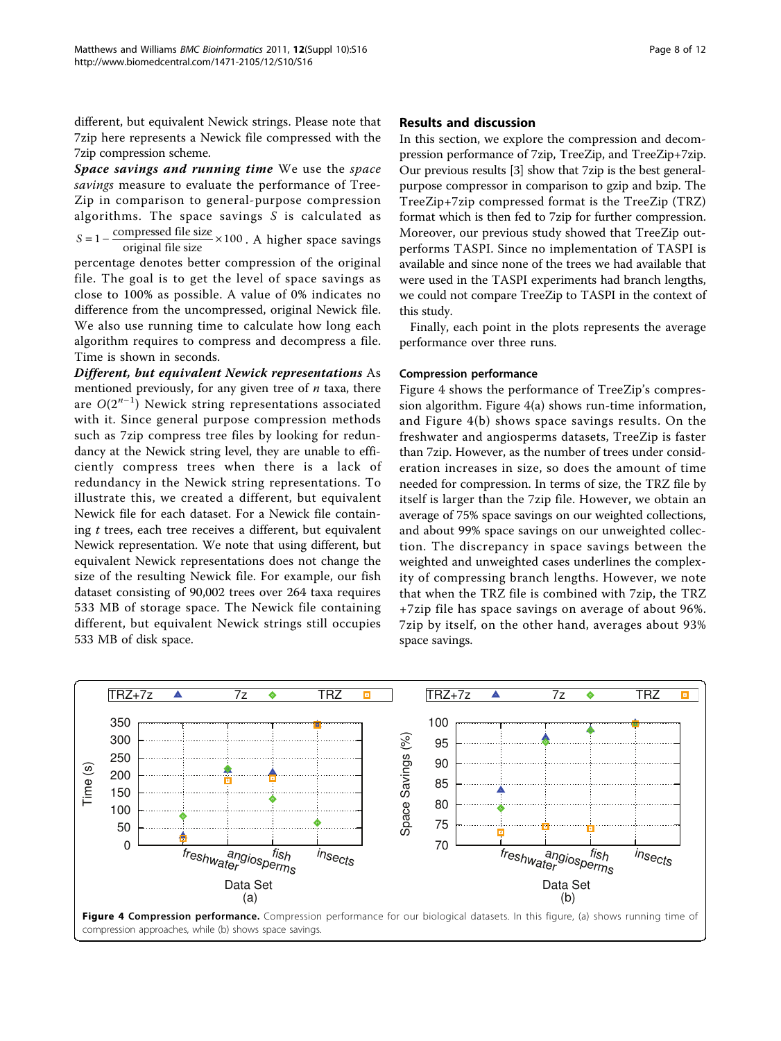different, but equivalent Newick strings. Please note that 7zip here represents a Newick file compressed with the 7zip compression scheme.

Space savings and running time We use the space savings measure to evaluate the performance of Tree-Zip in comparison to general-purpose compression algorithms. The space savings  $S$  is calculated as

 $S = 1 - \frac{\text{compressed file size}}{\text{original file size}} \times 100$ . A higher space savings

percentage denotes better compression of the original file. The goal is to get the level of space savings as close to 100% as possible. A value of 0% indicates no difference from the uncompressed, original Newick file. We also use running time to calculate how long each algorithm requires to compress and decompress a file. Time is shown in seconds.

Different, but equivalent Newick representations As mentioned previously, for any given tree of  $n$  taxa, there are  $O(2^{n-1})$  Newick string representations associated with it. Since general purpose compression methods such as 7zip compress tree files by looking for redundancy at the Newick string level, they are unable to efficiently compress trees when there is a lack of redundancy in the Newick string representations. To illustrate this, we created a different, but equivalent Newick file for each dataset. For a Newick file containing  $t$  trees, each tree receives a different, but equivalent Newick representation. We note that using different, but equivalent Newick representations does not change the size of the resulting Newick file. For example, our fish dataset consisting of 90,002 trees over 264 taxa requires 533 MB of storage space. The Newick file containing different, but equivalent Newick strings still occupies 533 MB of disk space.

### Results and discussion

In this section, we explore the compression and decompression performance of 7zip, TreeZip, and TreeZip+7zip. Our previous results [[3\]](#page-11-0) show that 7zip is the best generalpurpose compressor in comparison to gzip and bzip. The TreeZip+7zip compressed format is the TreeZip (TRZ) format which is then fed to 7zip for further compression. Moreover, our previous study showed that TreeZip outperforms TASPI. Since no implementation of TASPI is available and since none of the trees we had available that were used in the TASPI experiments had branch lengths, we could not compare TreeZip to TASPI in the context of this study.

Finally, each point in the plots represents the average performance over three runs.

## Compression performance

Figure 4 shows the performance of TreeZip's compression algorithm. Figure 4(a) shows run-time information, and Figure 4(b) shows space savings results. On the freshwater and angiosperms datasets, TreeZip is faster than 7zip. However, as the number of trees under consideration increases in size, so does the amount of time needed for compression. In terms of size, the TRZ file by itself is larger than the 7zip file. However, we obtain an average of 75% space savings on our weighted collections, and about 99% space savings on our unweighted collection. The discrepancy in space savings between the weighted and unweighted cases underlines the complexity of compressing branch lengths. However, we note that when the TRZ file is combined with 7zip, the TRZ +7zip file has space savings on average of about 96%. 7zip by itself, on the other hand, averages about 93% space savings.

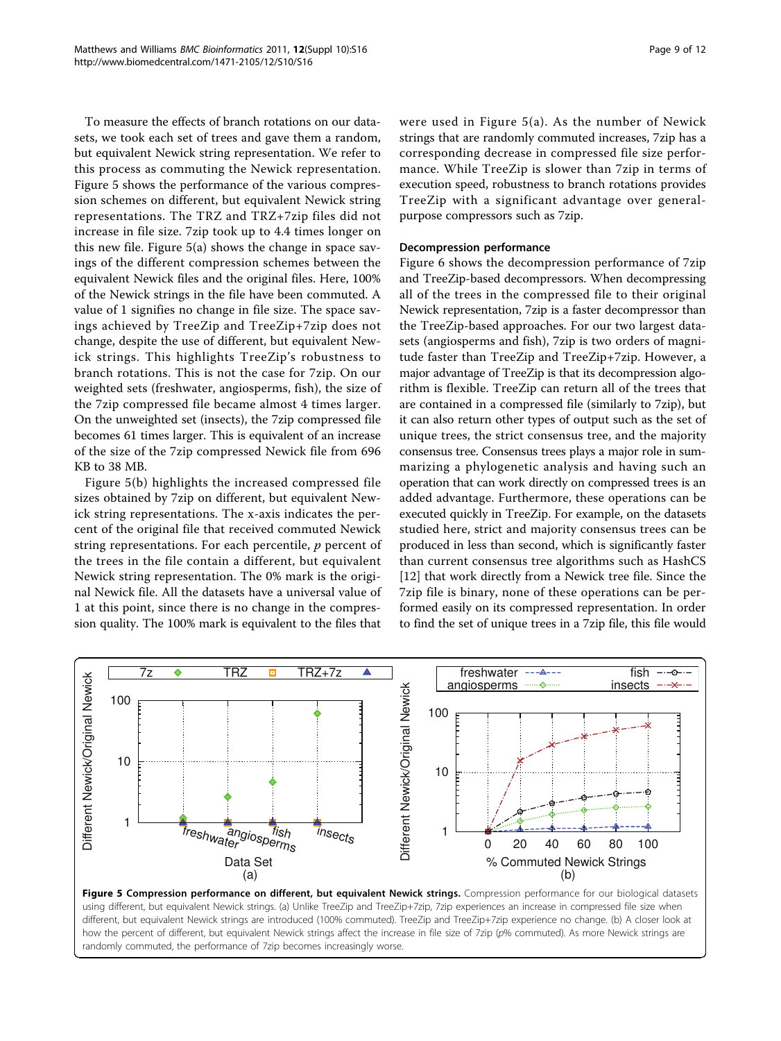To measure the effects of branch rotations on our datasets, we took each set of trees and gave them a random, but equivalent Newick string representation. We refer to this process as commuting the Newick representation. Figure 5 shows the performance of the various compression schemes on different, but equivalent Newick string representations. The TRZ and TRZ+7zip files did not increase in file size. 7zip took up to 4.4 times longer on this new file. Figure 5(a) shows the change in space savings of the different compression schemes between the equivalent Newick files and the original files. Here, 100% of the Newick strings in the file have been commuted. A value of 1 signifies no change in file size. The space savings achieved by TreeZip and TreeZip+7zip does not change, despite the use of different, but equivalent Newick strings. This highlights TreeZip's robustness to branch rotations. This is not the case for 7zip. On our weighted sets (freshwater, angiosperms, fish), the size of the 7zip compressed file became almost 4 times larger. On the unweighted set (insects), the 7zip compressed file becomes 61 times larger. This is equivalent of an increase of the size of the 7zip compressed Newick file from 696 KB to 38 MB.

Figure 5(b) highlights the increased compressed file sizes obtained by 7zip on different, but equivalent Newick string representations. The x-axis indicates the percent of the original file that received commuted Newick string representations. For each percentile,  $p$  percent of the trees in the file contain a different, but equivalent Newick string representation. The 0% mark is the original Newick file. All the datasets have a universal value of 1 at this point, since there is no change in the compression quality. The 100% mark is equivalent to the files that were used in Figure 5(a). As the number of Newick strings that are randomly commuted increases, 7zip has a corresponding decrease in compressed file size performance. While TreeZip is slower than 7zip in terms of execution speed, robustness to branch rotations provides TreeZip with a significant advantage over generalpurpose compressors such as 7zip.

#### Decompression performance

Figure [6](#page-9-0) shows the decompression performance of 7zip and TreeZip-based decompressors. When decompressing all of the trees in the compressed file to their original Newick representation, 7zip is a faster decompressor than the TreeZip-based approaches. For our two largest datasets (angiosperms and fish), 7zip is two orders of magnitude faster than TreeZip and TreeZip+7zip. However, a major advantage of TreeZip is that its decompression algorithm is flexible. TreeZip can return all of the trees that are contained in a compressed file (similarly to 7zip), but it can also return other types of output such as the set of unique trees, the strict consensus tree, and the majority consensus tree. Consensus trees plays a major role in summarizing a phylogenetic analysis and having such an operation that can work directly on compressed trees is an added advantage. Furthermore, these operations can be executed quickly in TreeZip. For example, on the datasets studied here, strict and majority consensus trees can be produced in less than second, which is significantly faster than current consensus tree algorithms such as HashCS [[12\]](#page-11-0) that work directly from a Newick tree file. Since the 7zip file is binary, none of these operations can be performed easily on its compressed representation. In order to find the set of unique trees in a 7zip file, this file would



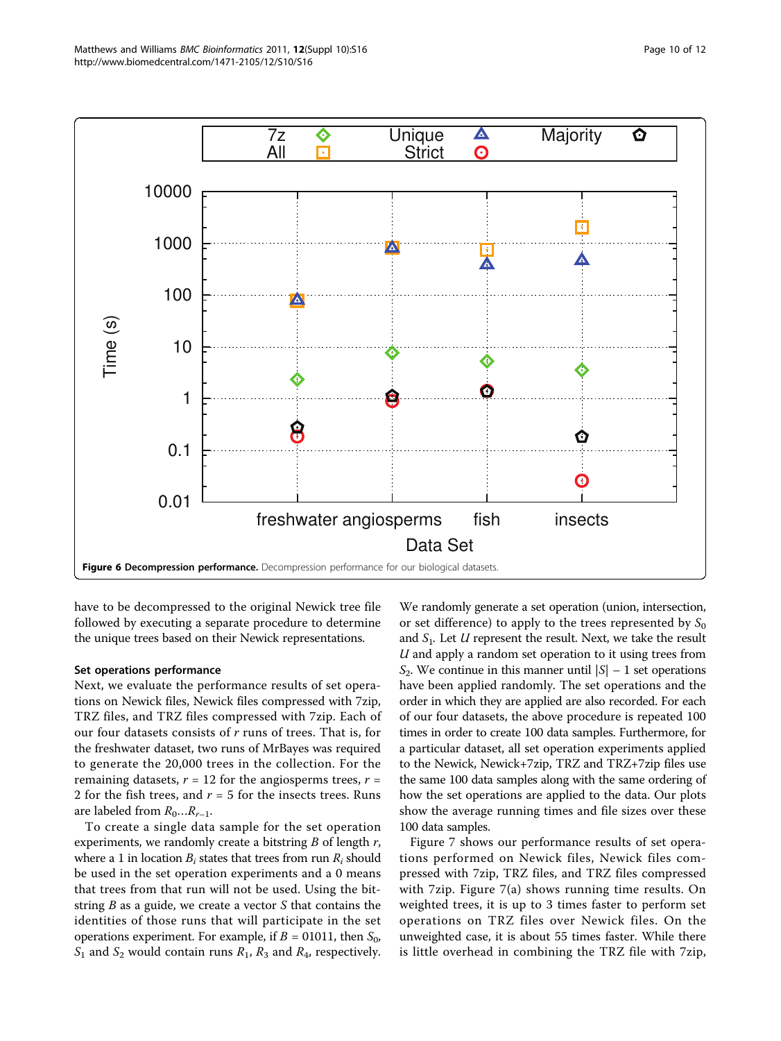<span id="page-9-0"></span>

have to be decompressed to the original Newick tree file followed by executing a separate procedure to determine the unique trees based on their Newick representations.

#### Set operations performance

Next, we evaluate the performance results of set operations on Newick files, Newick files compressed with 7zip, TRZ files, and TRZ files compressed with 7zip. Each of our four datasets consists of r runs of trees. That is, for the freshwater dataset, two runs of MrBayes was required to generate the 20,000 trees in the collection. For the remaining datasets,  $r = 12$  for the angiosperms trees,  $r =$ 2 for the fish trees, and  $r = 5$  for the insects trees. Runs are labeled from  $R_0...R_{r-1}$ .

To create a single data sample for the set operation experiments, we randomly create a bitstring  $B$  of length  $r$ , where a 1 in location  $B_i$  states that trees from run  $R_i$  should be used in the set operation experiments and a 0 means that trees from that run will not be used. Using the bitstring  $B$  as a guide, we create a vector  $S$  that contains the identities of those runs that will participate in the set operations experiment. For example, if  $B = 01011$ , then  $S_0$ ,  $S_1$  and  $S_2$  would contain runs  $R_1$ ,  $R_3$  and  $R_4$ , respectively.

We randomly generate a set operation (union, intersection, or set difference) to apply to the trees represented by  $S_0$ and  $S_1$ . Let U represent the result. Next, we take the result  $U$  and apply a random set operation to it using trees from  $S_2$ . We continue in this manner until  $|S| - 1$  set operations have been applied randomly. The set operations and the order in which they are applied are also recorded. For each of our four datasets, the above procedure is repeated 100 times in order to create 100 data samples. Furthermore, for a particular dataset, all set operation experiments applied to the Newick, Newick+7zip, TRZ and TRZ+7zip files use the same 100 data samples along with the same ordering of how the set operations are applied to the data. Our plots show the average running times and file sizes over these 100 data samples.

Figure [7](#page-10-0) shows our performance results of set operations performed on Newick files, Newick files compressed with 7zip, TRZ files, and TRZ files compressed with 7zip. Figure [7\(a\)](#page-10-0) shows running time results. On weighted trees, it is up to 3 times faster to perform set operations on TRZ files over Newick files. On the unweighted case, it is about 55 times faster. While there is little overhead in combining the TRZ file with 7zip,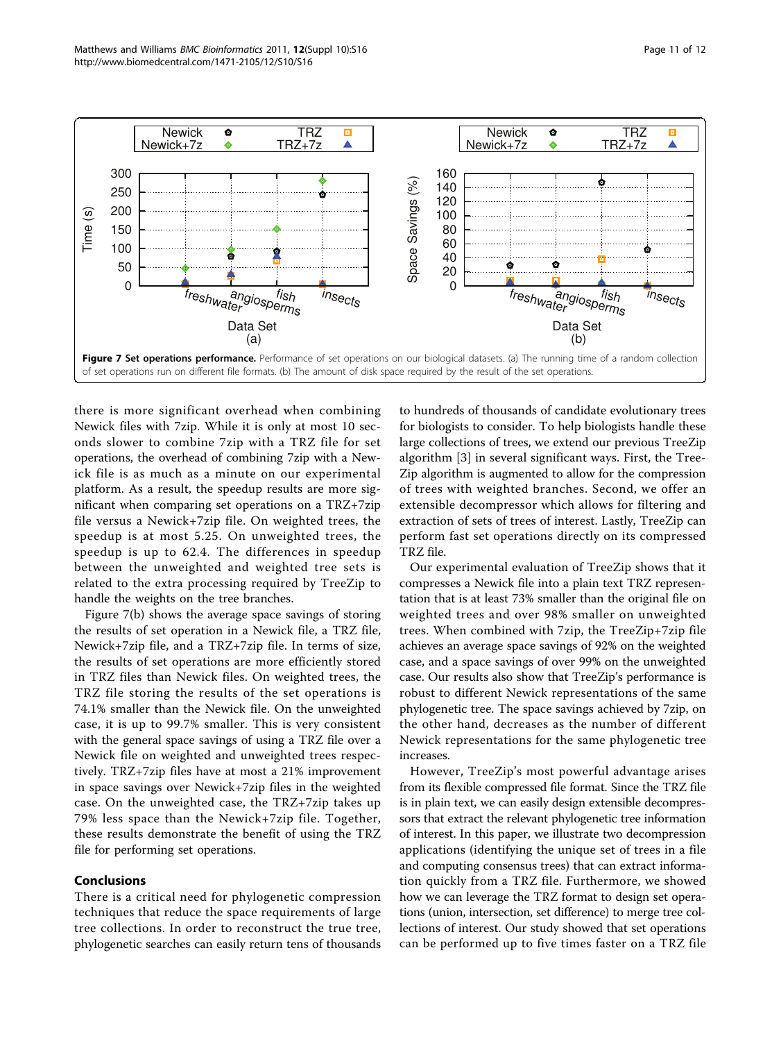there is more significant overhead when combining Newick files with 7zip. While it is only at most 10 seconds slower to combine 7zip with a TRZ file for set operations, the overhead of combining 7zip with a Newick file is as much as a minute on our experimental platform. As a result, the speedup results are more significant when comparing set operations on a TRZ+7zip file versus a Newick+7zip file. On weighted trees, the speedup is at most 5.25. On unweighted trees, the speedup is up to 62.4. The differences in speedup between the unweighted and weighted tree sets is related to the extra processing required by TreeZip to handle the weights on the tree branches.

Figure 7(b) shows the average space savings of storing the results of set operation in a Newick file, a TRZ file, Newick+7zip file, and a TRZ+7zip file. In terms of size, the results of set operations are more efficiently stored in TRZ files than Newick files. On weighted trees, the TRZ file storing the results of the set operations is 74.1% smaller than the Newick file. On the unweighted case, it is up to 99.7% smaller. This is very consistent with the general space savings of using a TRZ file over a Newick file on weighted and unweighted trees respectively. TRZ+7zip files have at most a 21% improvement in space savings over Newick+7zip files in the weighted case. On the unweighted case, the TRZ+7zip takes up 79% less space than the Newick+7zip file. Together, these results demonstrate the benefit of using the TRZ file for performing set operations.

### Conclusions

There is a critical need for phylogenetic compression techniques that reduce the space requirements of large tree collections. In order to reconstruct the true tree, phylogenetic searches can easily return tens of thousands

to hundreds of thousands of candidate evolutionary trees for biologists to consider. To help biologists handle these large collections of trees, we extend our previous TreeZip algorithm [\[3](#page-11-0)] in several significant ways. First, the Tree-Zip algorithm is augmented to allow for the compression of trees with weighted branches. Second, we offer an extensible decompressor which allows for filtering and extraction of sets of trees of interest. Lastly, TreeZip can perform fast set operations directly on its compressed TRZ file.

Our experimental evaluation of TreeZip shows that it compresses a Newick file into a plain text TRZ representation that is at least 73% smaller than the original file on weighted trees and over 98% smaller on unweighted trees. When combined with 7zip, the TreeZip+7zip file achieves an average space savings of 92% on the weighted case, and a space savings of over 99% on the unweighted case. Our results also show that TreeZip's performance is robust to different Newick representations of the same phylogenetic tree. The space savings achieved by 7zip, on the other hand, decreases as the number of different Newick representations for the same phylogenetic tree increases.

However, TreeZip's most powerful advantage arises from its flexible compressed file format. Since the TRZ file is in plain text, we can easily design extensible decompressors that extract the relevant phylogenetic tree information of interest. In this paper, we illustrate two decompression applications (identifying the unique set of trees in a file and computing consensus trees) that can extract information quickly from a TRZ file. Furthermore, we showed how we can leverage the TRZ format to design set operations (union, intersection, set difference) to merge tree collections of interest. Our study showed that set operations can be performed up to five times faster on a TRZ file

<span id="page-10-0"></span>